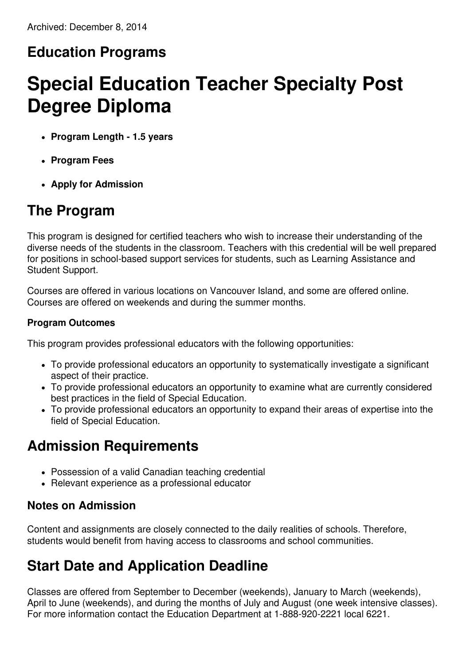#### **Education Programs**

# **Special Education Teacher Specialty Post Degree Diploma**

- **Program Length - 1.5 years**
- **Program Fees**
- **Apply for Admission**

#### **The Program**

This program is designed for certified teachers who wish to increase their understanding of the diverse needs of the students in the classroom. Teachers with this credential will be well prepared for positions in school-based support services for students, such as Learning Assistance and Student Support.

Courses are offered in various locations on Vancouver Island, and some are offered online. Courses are offered on weekends and during the summer months.

#### **Program Outcomes**

This program provides professional educators with the following opportunities:

- To provide professional educators an opportunity to systematically investigate a significant aspect of their practice.
- To provide professional educators an opportunity to examine what are currently considered best practices in the field of Special Education.
- To provide professional educators an opportunity to expand their areas of expertise into the field of Special Education.

### **Admission Requirements**

- Possession of a valid Canadian teaching credential
- Relevant experience as a professional educator

#### **Notes on Admission**

Content and assignments are closely connected to the daily realities of schools. Therefore, students would benefit from having access to classrooms and school communities.

### **Start Date and Application Deadline**

Classes are offered from September to December (weekends), January to March (weekends), April to June (weekends), and during the months of July and August (one week intensive classes). For more information contact the Education Department at 1-888-920-2221 local 6221.